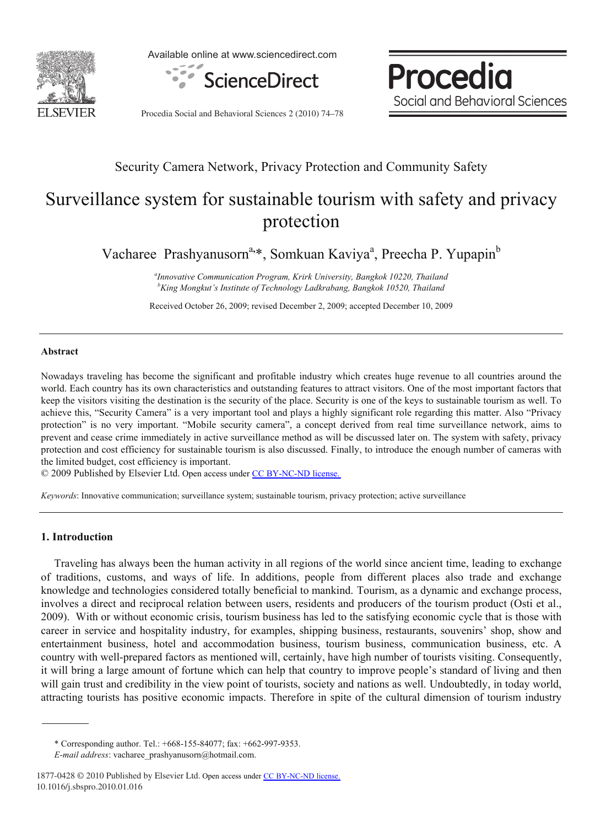

Available online at www.sciencedirect.com



**Procedia** Social and Behavioral Sciences

Procedia Social and Behavioral Sciences 2 (2010) 74–78

### Security Camera Network, Privacy Protection and Community Safety

# Surveillance system for sustainable tourism with safety and privacy protection

Vacharee Prashyanusorn<sup>a,\*</sup>, Somkuan Kaviya<sup>a</sup>, Preecha P. Yupapin<sup>b</sup>

*a Innovative Communication Program, Krirk University, Bangkok 10220, Thailand b King Mongkut's Institute of Technology Ladkrabang, Bangkok 10520, Thailand* 

Received October 26, 2009; revised December 2, 2009; accepted December 10, 2009

#### **Abstract**

Nowadays traveling has become the significant and profitable industry which creates huge revenue to all countries around the world. Each country has its own characteristics and outstanding features to attract visitors. One of the most important factors that keep the visitors visiting the destination is the security of the place. Security is one of the keys to sustainable tourism as well. To achieve this, "Security Camera" is a very important tool and plays a highly significant role regarding this matter. Also "Privacy protection" is no very important. "Mobile security camera", a concept derived from real time surveillance network, aims to prevent and cease crime immediately in active surveillance method as will be discussed later on. The system with safety, privacy protection and cost efficiency for sustainable tourism is also discussed. Finally, to introduce the enough number of cameras with the limited budget, cost efficiency is important.

© 2009 Published by Elsevier Ltd. Open access under [CC BY-NC-ND license.](http://creativecommons.org/licenses/by-nc-nd/3.0/)

*Keywords*: Innovative communication; surveillance system; sustainable tourism, privacy protection; active surveillance

### **1. Introduction**

Traveling has always been the human activity in all regions of the world since ancient time, leading to exchange of traditions, customs, and ways of life. In additions, people from different places also trade and exchange knowledge and technologies considered totally beneficial to mankind. Tourism, as a dynamic and exchange process, involves a direct and reciprocal relation between users, residents and producers of the tourism product (Osti et al., 2009). With or without economic crisis, tourism business has led to the satisfying economic cycle that is those with career in service and hospitality industry, for examples, shipping business, restaurants, souvenirs' shop, show and entertainment business, hotel and accommodation business, tourism business, communication business, etc. A country with well-prepared factors as mentioned will, certainly, have high number of tourists visiting. Consequently, it will bring a large amount of fortune which can help that country to improve people's standard of living and then will gain trust and credibility in the view point of tourists, society and nations as well. Undoubtedly, in today world, attracting tourists has positive economic impacts. Therefore in spite of the cultural dimension of tourism industry

<sup>\*</sup> Corresponding author. Tel.: +668-155-84077; fax: +662-997-9353.

*E-mail address*: vacharee\_prashyanusorn@hotmail.com.

<sup>1877-0428 © 2010</sup> Published by Elsevier Ltd. Open access under [CC BY-NC-ND license.](http://creativecommons.org/licenses/by-nc-nd/3.0/)10.1016/j.sbspro.2010.01.016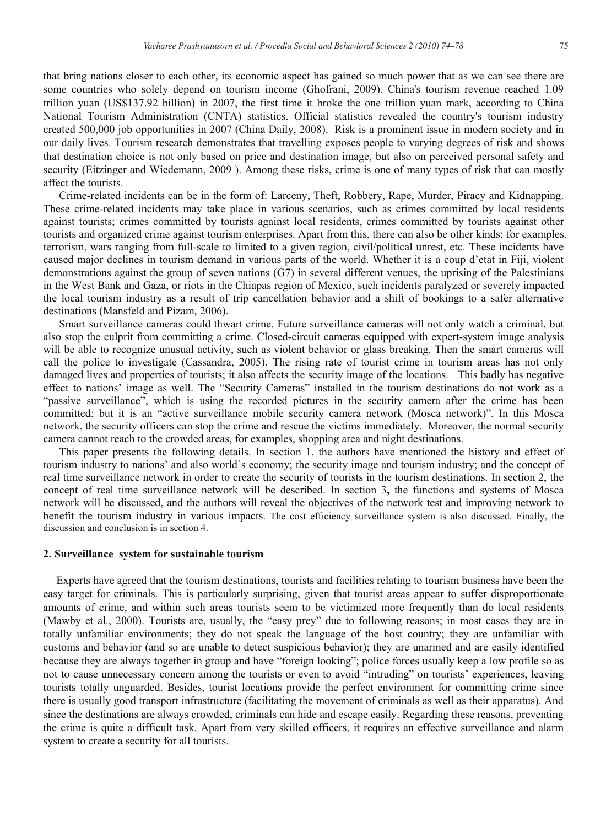that bring nations closer to each other, its economic aspect has gained so much power that as we can see there are some countries who solely depend on tourism income (Ghofrani, 2009). China's tourism revenue reached 1.09 trillion yuan (US\$137.92 billion) in 2007, the first time it broke the one trillion yuan mark, according to China National Tourism Administration (CNTA) statistics. Official statistics revealed the country's tourism industry created 500,000 job opportunities in 2007 (China Daily, 2008). Risk is a prominent issue in modern society and in our daily lives. Tourism research demonstrates that travelling exposes people to varying degrees of risk and shows that destination choice is not only based on price and destination image, but also on perceived personal safety and security (Eitzinger and Wiedemann, 2009 ). Among these risks, crime is one of many types of risk that can mostly affect the tourists.

Crime-related incidents can be in the form of: Larceny, Theft, Robbery, Rape, Murder, Piracy and Kidnapping. These crime-related incidents may take place in various scenarios, such as crimes committed by local residents against tourists; crimes committed by tourists against local residents, crimes committed by tourists against other tourists and organized crime against tourism enterprises. Apart from this, there can also be other kinds; for examples, terrorism, wars ranging from full-scale to limited to a given region, civil/political unrest, etc. These incidents have caused major declines in tourism demand in various parts of the world. Whether it is a coup d'etat in Fiji, violent demonstrations against the group of seven nations (G7) in several different venues, the uprising of the Palestinians in the West Bank and Gaza, or riots in the Chiapas region of Mexico, such incidents paralyzed or severely impacted the local tourism industry as a result of trip cancellation behavior and a shift of bookings to a safer alternative destinations (Mansfeld and Pizam, 2006).

Smart surveillance cameras could thwart crime. Future surveillance cameras will not only watch a criminal, but also stop the culprit from committing a crime. Closed-circuit cameras equipped with expert-system image analysis will be able to recognize unusual activity, such as violent behavior or glass breaking. Then the smart cameras will call the police to investigate (Cassandra, 2005). The rising rate of tourist crime in tourism areas has not only damaged lives and properties of tourists; it also affects the security image of the locations. This badly has negative effect to nations' image as well. The "Security Cameras" installed in the tourism destinations do not work as a "passive surveillance", which is using the recorded pictures in the security camera after the crime has been committed; but it is an "active surveillance mobile security camera network (Mosca network)". In this Mosca network, the security officers can stop the crime and rescue the victims immediately. Moreover, the normal security camera cannot reach to the crowded areas, for examples, shopping area and night destinations.

This paper presents the following details. In section 1, the authors have mentioned the history and effect of tourism industry to nations' and also world's economy; the security image and tourism industry; and the concept of real time surveillance network in order to create the security of tourists in the tourism destinations. In section 2, the concept of real time surveillance network will be described. In section 3**,** the functions and systems of Mosca network will be discussed, and the authors will reveal the objectives of the network test and improving network to benefit the tourism industry in various impacts. The cost efficiency surveillance system is also discussed. Finally, the discussion and conclusion is in section 4.

#### **2. Surveillance system for sustainable tourism**

Experts have agreed that the tourism destinations, tourists and facilities relating to tourism business have been the easy target for criminals. This is particularly surprising, given that tourist areas appear to suffer disproportionate amounts of crime, and within such areas tourists seem to be victimized more frequently than do local residents (Mawby et al., 2000). Tourists are, usually, the "easy prey" due to following reasons; in most cases they are in totally unfamiliar environments; they do not speak the language of the host country; they are unfamiliar with customs and behavior (and so are unable to detect suspicious behavior); they are unarmed and are easily identified because they are always together in group and have "foreign looking"; police forces usually keep a low profile so as not to cause unnecessary concern among the tourists or even to avoid "intruding" on tourists' experiences, leaving tourists totally unguarded. Besides, tourist locations provide the perfect environment for committing crime since there is usually good transport infrastructure (facilitating the movement of criminals as well as their apparatus). And since the destinations are always crowded, criminals can hide and escape easily. Regarding these reasons, preventing the crime is quite a difficult task. Apart from very skilled officers, it requires an effective surveillance and alarm system to create a security for all tourists.